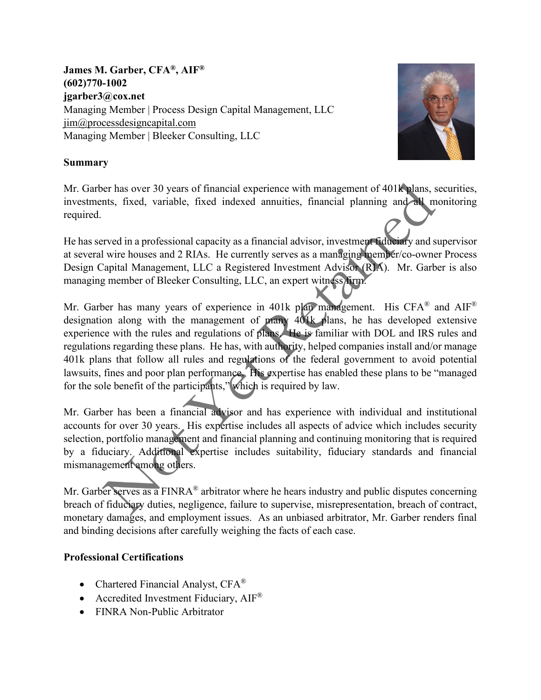# **James M. Garber, CFA®, AIF® (602)770-1002 jgarber3@cox.net**  Managing Member | Process Design Capital Management, LLC [jim@processdesigncapital.com](mailto:jim@processdesigncapital.com) Managing Member | Bleeker Consulting, LLC



## **Summary**

Mr. Garber has over 30 years of financial experience with management of 401<sup>k</sup> plans, securities, investments, fixed, variable, fixed indexed annuities, financial planning and all monitoring required.

He has served in a professional capacity as a financial advisor, investment fiduciary and supervisor at several wire houses and 2 RIAs. He currently serves as a managing member/co-owner Process Design Capital Management, LLC a Registered Investment Advisor (RIA). Mr. Garber is also managing member of Bleeker Consulting, LLC, an expert witness firm.

Mr. Garber has many years of experience in 401k plan management. His CFA® and AIF® designation along with the management of many 401k plans, he has developed extensive experience with the rules and regulations of plans. He is familiar with DOL and IRS rules and regulations regarding these plans. He has, with authority, helped companies install and/or manage 401k plans that follow all rules and regulations of the federal government to avoid potential lawsuits, fines and poor plan performance. His expertise has enabled these plans to be "managed for the sole benefit of the participants," which is required by law. net has over 30 years of financial experience with management of 401k plans, s<br>tnts, fixed, variable, fixed indexed annuities, financial planning and an<br>twice dina professional capacity as a financial advisor, investment

Mr. Garber has been a financial advisor and has experience with individual and institutional accounts for over 30 years. His expertise includes all aspects of advice which includes security selection, portfolio management and financial planning and continuing monitoring that is required by a fiduciary. Additional expertise includes suitability, fiduciary standards and financial mismanagement among others.

Mr. Garber serves as a FINRA<sup>®</sup> arbitrator where he hears industry and public disputes concerning breach of fiduciary duties, negligence, failure to supervise, misrepresentation, breach of contract, monetary damages, and employment issues. As an unbiased arbitrator, Mr. Garber renders final and binding decisions after carefully weighing the facts of each case.

## **Professional Certifications**

- Chartered Financial Analyst, CFA<sup>®</sup>
- Accredited Investment Fiduciary, AIF<sup>®</sup>
- FINRA Non-Public Arbitrator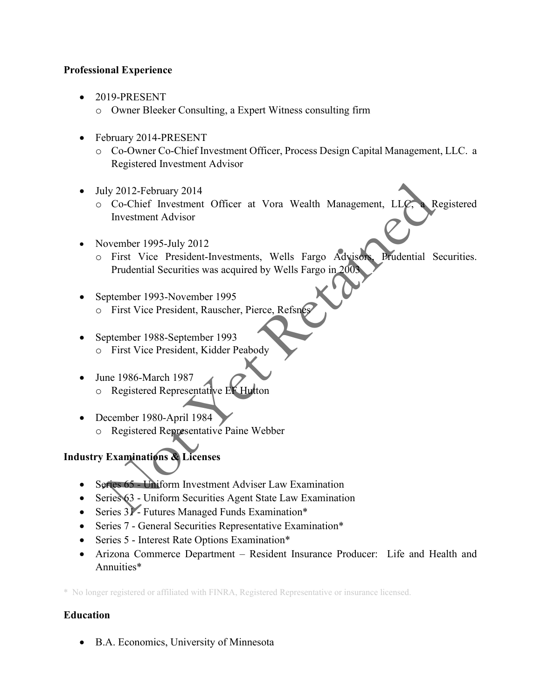#### **Professional Experience**

- 2019-PRESENT
	- o Owner Bleeker Consulting, a Expert Witness consulting firm
- February 2014-PRESENT
	- o Co-Owner Co-Chief Investment Officer, Process Design Capital Management, LLC. a Registered Investment Advisor
- July 2012-February 2014
- o Co-Chief Investment Officer at Vora Wealth Management, LLC, a Registered Investment Advisor 19 2012-February 2014<br>
Co-Chief Investment Officer at Vora Wealth Management, LLCCC<br>
Investment Advisor<br>
Investment Advisor<br>
September 1995-July 2012<br>
First Vice President-Investments, Wells Fargo Advises<br>
Prudential Secur
- November 1995-July 2012
	- o First Vice President-Investments, Wells Fargo Advisors, Prudential Securities. Prudential Securities was acquired by Wells Fargo in 2003
- September 1993-November 1995 o First Vice President, Rauscher, Pierce, Refsnes
- September 1988-September 1993 o First Vice President, Kidder Peabody
- June 1986-March 1987 o Registered Representative EF Hutton
- December 1980-April 1984
	- o Registered Representative Paine Webber

## **Industry Examinations & Licenses**

- Series 65 Uniform Investment Adviser Law Examination
- Series 63 Uniform Securities Agent State Law Examination
- Series 31 Futures Managed Funds Examination\*
- Series 7 General Securities Representative Examination\*
- Series 5 Interest Rate Options Examination\*
- Arizona Commerce Department Resident Insurance Producer: Life and Health and Annuities\*

\* No longer registered or affiliated with FINRA, Registered Representative or insurance licensed.

## **Education**

• B.A. Economics, University of Minnesota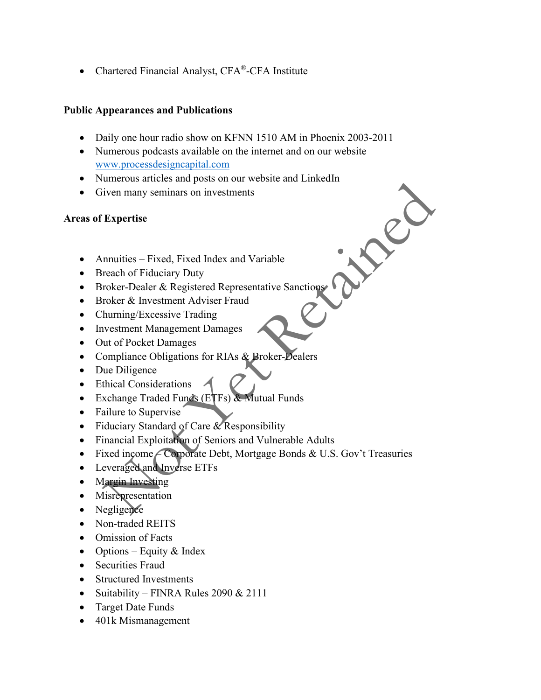• Chartered Financial Analyst, CFA®-CFA Institute

#### **Public Appearances and Publications**

- Daily one hour radio show on KFNN 1510 AM in Phoenix 2003-2011
- Numerous podcasts available on the internet and on our website [www.processdesigncapital.com](http://www.processdesigncapital.com/)
- Numerous articles and posts on our website and LinkedIn
- Given many seminars on investments

#### **Areas of Expertise**

- Annuities Fixed, Fixed Index and Variable
- Breach of Fiduciary Duty
- Broker-Dealer & Registered Representative Sanctions
- Broker & Investment Adviser Fraud
- Churning/Excessive Trading
- Investment Management Damages
- Out of Pocket Damages
- Compliance Obligations for RIAs & Broker-Dealers
- Due Diligence
- Ethical Considerations
- Exchange Traded Funds (ETFs) & Mutual Funds
- Failure to Supervise
- Fiduciary Standard of Care & Responsibility
- Financial Exploitation of Seniors and Vulnerable Adults
- Fixed income Corporate Debt, Mortgage Bonds & U.S. Gov't Treasuries meriods anterest and postal on our website and Eminetari<br>
iven many seminars on investments<br>
Expertise<br>
roker-Dealer & Registered Representative Sanctions<br>
roker-Dealer & Registered Representative Sanctions<br>
roker-Dealer &
- Leveraged and Inverse ETFs
- Margin Investing
- Misrepresentation
- Negligence
- Non-traded REITS
- Omission of Facts
- Options Equity & Index
- Securities Fraud
- Structured Investments
- Suitability FINRA Rules 2090 & 2111
- Target Date Funds
- 401k Mismanagement